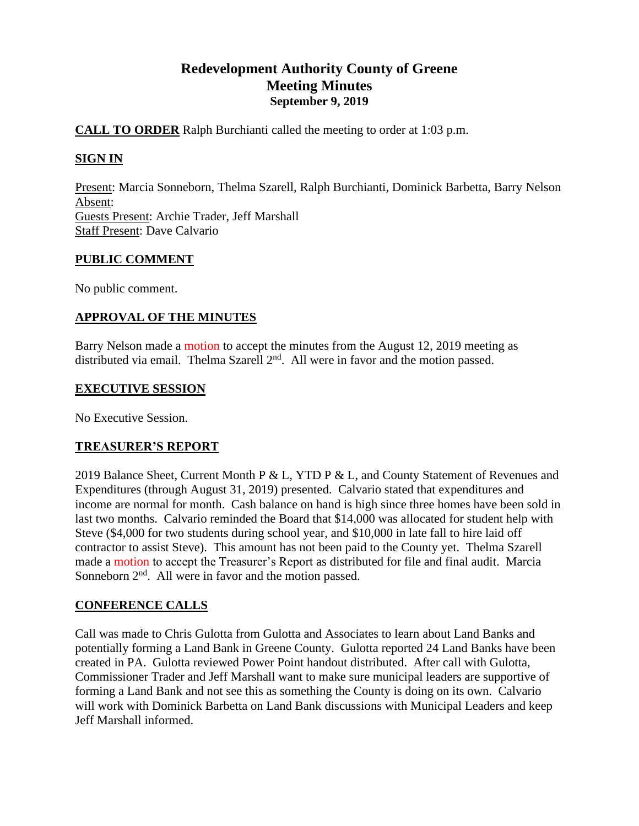# **Redevelopment Authority County of Greene Meeting Minutes September 9, 2019**

## **CALL TO ORDER** Ralph Burchianti called the meeting to order at 1:03 p.m.

# **SIGN IN**

Present: Marcia Sonneborn, Thelma Szarell, Ralph Burchianti, Dominick Barbetta, Barry Nelson Absent: Guests Present: Archie Trader, Jeff Marshall Staff Present: Dave Calvario

### **PUBLIC COMMENT**

No public comment.

# **APPROVAL OF THE MINUTES**

Barry Nelson made a motion to accept the minutes from the August 12, 2019 meeting as distributed via email. Thelma Szarell  $2<sup>nd</sup>$ . All were in favor and the motion passed.

### **EXECUTIVE SESSION**

No Executive Session.

# **TREASURER'S REPORT**

2019 Balance Sheet, Current Month P & L, YTD P & L, and County Statement of Revenues and Expenditures (through August 31, 2019) presented. Calvario stated that expenditures and income are normal for month. Cash balance on hand is high since three homes have been sold in last two months. Calvario reminded the Board that \$14,000 was allocated for student help with Steve (\$4,000 for two students during school year, and \$10,000 in late fall to hire laid off contractor to assist Steve). This amount has not been paid to the County yet. Thelma Szarell made a motion to accept the Treasurer's Report as distributed for file and final audit. Marcia Sonneborn  $2<sup>nd</sup>$ . All were in favor and the motion passed.

# **CONFERENCE CALLS**

Call was made to Chris Gulotta from Gulotta and Associates to learn about Land Banks and potentially forming a Land Bank in Greene County. Gulotta reported 24 Land Banks have been created in PA. Gulotta reviewed Power Point handout distributed. After call with Gulotta, Commissioner Trader and Jeff Marshall want to make sure municipal leaders are supportive of forming a Land Bank and not see this as something the County is doing on its own. Calvario will work with Dominick Barbetta on Land Bank discussions with Municipal Leaders and keep Jeff Marshall informed.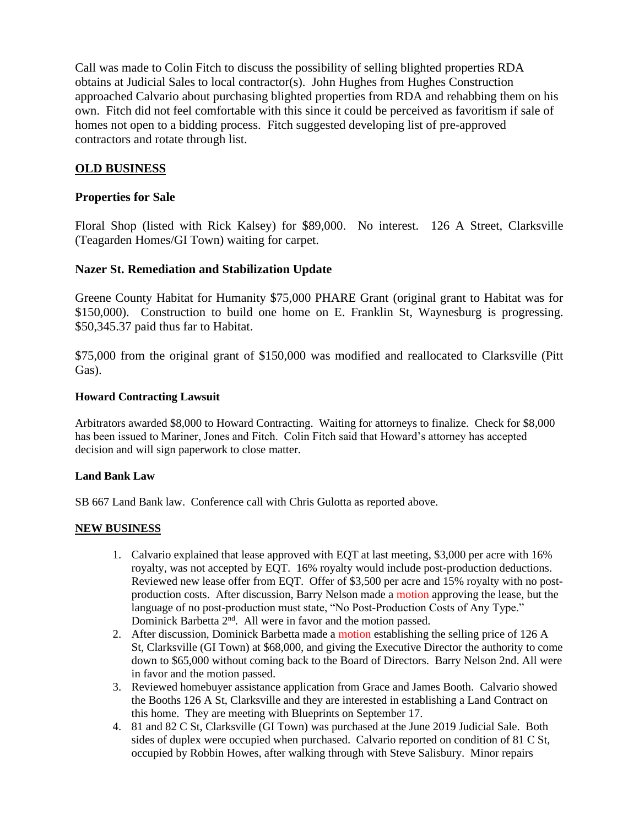Call was made to Colin Fitch to discuss the possibility of selling blighted properties RDA obtains at Judicial Sales to local contractor(s). John Hughes from Hughes Construction approached Calvario about purchasing blighted properties from RDA and rehabbing them on his own. Fitch did not feel comfortable with this since it could be perceived as favoritism if sale of homes not open to a bidding process. Fitch suggested developing list of pre-approved contractors and rotate through list.

### **OLD BUSINESS**

#### **Properties for Sale**

Floral Shop (listed with Rick Kalsey) for \$89,000. No interest. 126 A Street, Clarksville (Teagarden Homes/GI Town) waiting for carpet.

#### **Nazer St. Remediation and Stabilization Update**

Greene County Habitat for Humanity \$75,000 PHARE Grant (original grant to Habitat was for \$150,000). Construction to build one home on E. Franklin St, Waynesburg is progressing. \$50,345.37 paid thus far to Habitat.

\$75,000 from the original grant of \$150,000 was modified and reallocated to Clarksville (Pitt Gas).

#### **Howard Contracting Lawsuit**

Arbitrators awarded \$8,000 to Howard Contracting. Waiting for attorneys to finalize. Check for \$8,000 has been issued to Mariner, Jones and Fitch. Colin Fitch said that Howard's attorney has accepted decision and will sign paperwork to close matter.

#### **Land Bank Law**

SB 667 Land Bank law. Conference call with Chris Gulotta as reported above.

#### **NEW BUSINESS**

- 1. Calvario explained that lease approved with EQT at last meeting, \$3,000 per acre with 16% royalty, was not accepted by EQT. 16% royalty would include post-production deductions. Reviewed new lease offer from EQT. Offer of \$3,500 per acre and 15% royalty with no postproduction costs. After discussion, Barry Nelson made a motion approving the lease, but the language of no post-production must state, "No Post-Production Costs of Any Type." Dominick Barbetta 2<sup>nd</sup>. All were in favor and the motion passed.
- 2. After discussion, Dominick Barbetta made a motion establishing the selling price of 126 A St, Clarksville (GI Town) at \$68,000, and giving the Executive Director the authority to come down to \$65,000 without coming back to the Board of Directors. Barry Nelson 2nd. All were in favor and the motion passed.
- 3. Reviewed homebuyer assistance application from Grace and James Booth. Calvario showed the Booths 126 A St, Clarksville and they are interested in establishing a Land Contract on this home. They are meeting with Blueprints on September 17.
- 4. 81 and 82 C St, Clarksville (GI Town) was purchased at the June 2019 Judicial Sale. Both sides of duplex were occupied when purchased. Calvario reported on condition of 81 C St, occupied by Robbin Howes, after walking through with Steve Salisbury. Minor repairs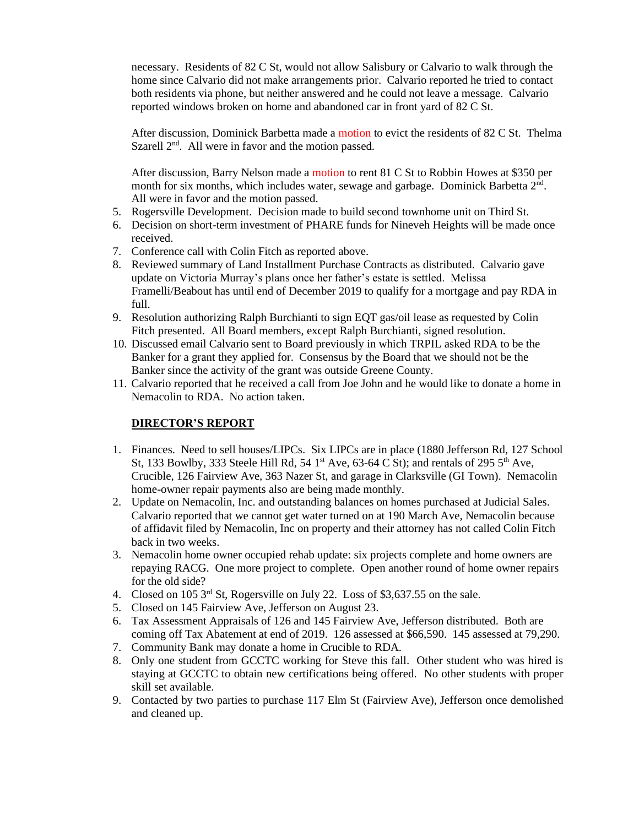necessary. Residents of 82 C St, would not allow Salisbury or Calvario to walk through the home since Calvario did not make arrangements prior. Calvario reported he tried to contact both residents via phone, but neither answered and he could not leave a message. Calvario reported windows broken on home and abandoned car in front yard of 82 C St.

After discussion, Dominick Barbetta made a motion to evict the residents of 82 C St. Thelma Szarell 2<sup>nd</sup>. All were in favor and the motion passed.

After discussion, Barry Nelson made a motion to rent 81 C St to Robbin Howes at \$350 per month for six months, which includes water, sewage and garbage. Dominick Barbetta 2<sup>nd</sup>. All were in favor and the motion passed.

- 5. Rogersville Development. Decision made to build second townhome unit on Third St.
- 6. Decision on short-term investment of PHARE funds for Nineveh Heights will be made once received.
- 7. Conference call with Colin Fitch as reported above.
- 8. Reviewed summary of Land Installment Purchase Contracts as distributed. Calvario gave update on Victoria Murray's plans once her father's estate is settled. Melissa Framelli/Beabout has until end of December 2019 to qualify for a mortgage and pay RDA in full.
- 9. Resolution authorizing Ralph Burchianti to sign EQT gas/oil lease as requested by Colin Fitch presented. All Board members, except Ralph Burchianti, signed resolution.
- 10. Discussed email Calvario sent to Board previously in which TRPIL asked RDA to be the Banker for a grant they applied for. Consensus by the Board that we should not be the Banker since the activity of the grant was outside Greene County.
- 11. Calvario reported that he received a call from Joe John and he would like to donate a home in Nemacolin to RDA. No action taken.

### **DIRECTOR'S REPORT**

- 1. Finances. Need to sell houses/LIPCs. Six LIPCs are in place (1880 Jefferson Rd, 127 School St, 133 Bowlby, 333 Steele Hill Rd, 54  $1<sup>st</sup>$  Ave, 63-64 C St); and rentals of 295  $5<sup>th</sup>$  Ave, Crucible, 126 Fairview Ave, 363 Nazer St, and garage in Clarksville (GI Town). Nemacolin home-owner repair payments also are being made monthly.
- 2. Update on Nemacolin, Inc. and outstanding balances on homes purchased at Judicial Sales. Calvario reported that we cannot get water turned on at 190 March Ave, Nemacolin because of affidavit filed by Nemacolin, Inc on property and their attorney has not called Colin Fitch back in two weeks.
- 3. Nemacolin home owner occupied rehab update: six projects complete and home owners are repaying RACG. One more project to complete. Open another round of home owner repairs for the old side?
- 4. Closed on 105 3<sup>rd</sup> St, Rogersville on July 22. Loss of \$3,637.55 on the sale.
- 5. Closed on 145 Fairview Ave, Jefferson on August 23.
- 6. Tax Assessment Appraisals of 126 and 145 Fairview Ave, Jefferson distributed. Both are coming off Tax Abatement at end of 2019. 126 assessed at \$66,590. 145 assessed at 79,290.
- 7. Community Bank may donate a home in Crucible to RDA.
- 8. Only one student from GCCTC working for Steve this fall. Other student who was hired is staying at GCCTC to obtain new certifications being offered. No other students with proper skill set available.
- 9. Contacted by two parties to purchase 117 Elm St (Fairview Ave), Jefferson once demolished and cleaned up.